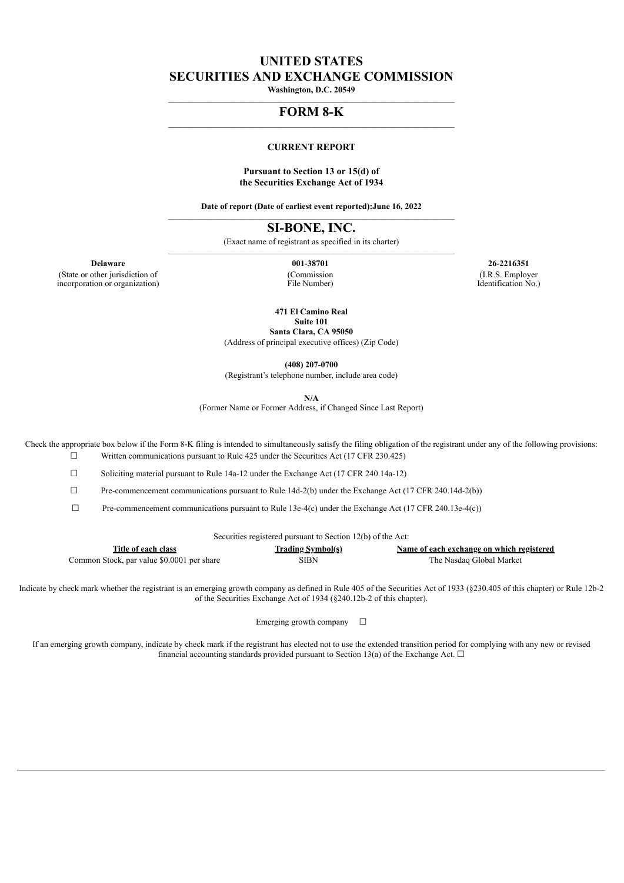# **UNITED STATES SECURITIES AND EXCHANGE COMMISSION**

**Washington, D.C. 20549** \_\_\_\_\_\_\_\_\_\_\_\_\_\_\_\_\_\_\_\_\_\_\_\_\_\_\_\_\_\_\_\_\_\_\_\_\_\_\_\_\_\_\_\_\_\_\_\_\_\_\_\_\_\_\_\_\_\_\_\_\_\_\_\_\_\_\_\_\_\_\_\_\_\_\_\_

#### **FORM 8-K** \_\_\_\_\_\_\_\_\_\_\_\_\_\_\_\_\_\_\_\_\_\_\_\_\_\_\_\_\_\_\_\_\_\_\_\_\_\_\_\_\_\_\_\_\_\_\_\_\_\_\_\_\_\_\_\_\_\_\_\_\_\_\_\_\_\_\_\_\_\_\_\_\_\_\_\_

#### **CURRENT REPORT**

### **Pursuant to Section 13 or 15(d) of the Securities Exchange Act of 1934**

**Date of report (Date of earliest event reported):June 16, 2022** \_\_\_\_\_\_\_\_\_\_\_\_\_\_\_\_\_\_\_\_\_\_\_\_\_\_\_\_\_\_\_\_\_\_\_\_\_\_\_\_\_\_\_\_\_\_\_\_\_\_\_\_\_\_\_\_\_\_\_\_\_\_\_\_\_\_\_\_\_\_\_\_\_\_\_\_

**SI-BONE, INC.**

(Exact name of registrant as specified in its charter)  $\mathcal{L}_\text{max}$ 

(State or other jurisdiction of incorporation or organization) (Commission File Number)

**Delaware 001-38701 26-2216351** (I.R.S. Employer Identification No.)

**471 El Camino Real**

**Suite 101 Santa Clara, CA 95050**

(Address of principal executive offices) (Zip Code)

**(408) 207-0700**

(Registrant's telephone number, include area code)

**N/A**

(Former Name or Former Address, if Changed Since Last Report)

Check the appropriate box below if the Form 8-K filing is intended to simultaneously satisfy the filing obligation of the registrant under any of the following provisions:  $\Box$  Written communications pursuant to Rule 425 under the Securities Act (17 CFR 230.425)

☐ Soliciting material pursuant to Rule 14a-12 under the Exchange Act (17 CFR 240.14a-12)

☐ Pre-commencement communications pursuant to Rule 14d-2(b) under the Exchange Act (17 CFR 240.14d-2(b))

 $\Box$  Pre-commencement communications pursuant to Rule 13e-4(c) under the Exchange Act (17 CFR 240.13e-4(c))

Securities registered pursuant to Section 12(b) of the Act:

| Title of each class                        | <b>Trading Symbol(s)</b> | Name of each exchange on which registered |
|--------------------------------------------|--------------------------|-------------------------------------------|
| Common Stock, par value \$0.0001 per share | SIBN                     | The Nasdag Global Market                  |

Indicate by check mark whether the registrant is an emerging growth company as defined in Rule 405 of the Securities Act of 1933 (§230.405 of this chapter) or Rule 12b-2 of the Securities Exchange Act of 1934 (§240.12b-2 of this chapter).

Emerging growth company  $\Box$ 

If an emerging growth company, indicate by check mark if the registrant has elected not to use the extended transition period for complying with any new or revised financial accounting standards provided pursuant to Section 13(a) of the Exchange Act.  $\Box$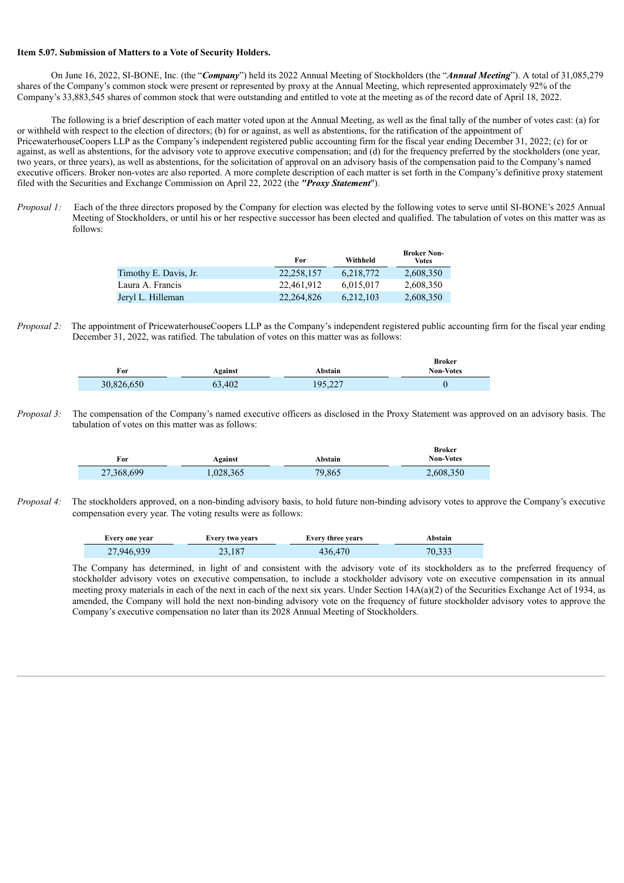### **Item 5.07. Submission of Matters to a Vote of Security Holders.**

On June 16, 2022, SI-BONE, Inc. (the "*Company*") held its 2022 Annual Meeting of Stockholders (the "*Annual Meeting*"). A total of 31,085,279 shares of the Company's common stock were present or represented by proxy at the Annual Meeting, which represented approximately 92% of the Company's 33,883,545 shares of common stock that were outstanding and entitled to vote at the meeting as of the record date of April 18, 2022.

The following is a brief description of each matter voted upon at the Annual Meeting, as well as the final tally of the number of votes cast: (a) for or withheld with respect to the election of directors; (b) for or against, as well as abstentions, for the ratification of the appointment of PricewaterhouseCoopers LLP as the Company's independent registered public accounting firm for the fiscal year ending December 31, 2022; (c) for or against, as well as abstentions, for the advisory vote to approve executive compensation; and (d) for the frequency preferred by the stockholders (one year, two years, or three years), as well as abstentions, for the solicitation of approval on an advisory basis of the compensation paid to the Company's named executive officers. Broker non-votes are also reported. A more complete description of each matter is set forth in the Company's definitive proxy statement filed with the Securities and Exchange Commission on April 22, 2022 (the *"Proxy Statement*").

*Proposal 1:* Each of the three directors proposed by the Company for election was elected by the following votes to serve until SI-BONE's 2025 Annual Meeting of Stockholders, or until his or her respective successor has been elected and qualified. The tabulation of votes on this matter was as follows:

|                       | For        | Withheld  | <b>Broker Non-</b><br>Votes |
|-----------------------|------------|-----------|-----------------------------|
| Timothy E. Davis, Jr. | 22.258.157 | 6,218,772 | 2,608,350                   |
| Laura A. Francis      | 22.461.912 | 6.015.017 | 2,608,350                   |
| Jeryl L. Hilleman     | 22.264.826 | 6.212.103 | 2,608,350                   |

*Proposal* 2: The appointment of PricewaterhouseCoopers LLP as the Company's independent registered public accounting firm for the fiscal year ending December 31, 2022, was ratified. The tabulation of votes on this matter was as follows:

| For        | Against | Abstain | <b>Broker</b><br><b>Non-Votes</b> |
|------------|---------|---------|-----------------------------------|
| 30,826,650 | 63,402  | 195,227 |                                   |

*Proposal 3:* The compensation of the Company's named executive officers as disclosed in the Proxy Statement was approved on an advisory basis. The tabulation of votes on this matter was as follows:

| For        | Against  | Abstain | Broker<br><b>Non-Votes</b> |
|------------|----------|---------|----------------------------|
| 27,368,699 | .028,365 | 79,865  | 2,608,350                  |

*Proposal 4:* The stockholders approved, on a non-binding advisory basis, to hold future non-binding advisory votes to approve the Company's executive compensation every year. The voting results were as follows:

| Every one year | <b>Every two years</b> | <b>Every three years</b> | Abstain |
|----------------|------------------------|--------------------------|---------|
| 27,946,939     | 23.187                 | 436,470                  | 70.333  |

The Company has determined, in light of and consistent with the advisory vote of its stockholders as to the preferred frequency of stockholder advisory votes on executive compensation, to include a stockholder advisory vote on executive compensation in its annual meeting proxy materials in each of the next in each of the next six years. Under Section 14A(a)(2) of the Securities Exchange Act of 1934, as amended, the Company will hold the next non-binding advisory vote on the frequency of future stockholder advisory votes to approve the Company's executive compensation no later than its 2028 Annual Meeting of Stockholders.